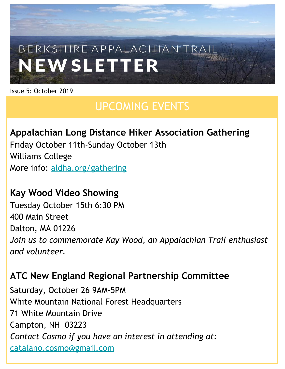# BERKSHIRE APPALACHIAN TRAI **NEWSLETTER**

Issue 5: October 2019

## UPCOMING EVENTS

#### **Appalachian Long Distance Hiker Association Gathering**

Friday October 11th-Sunday October 13th Williams College More info: [aldha.org/gathering](https://aldha.org/gathering)

#### **Kay Wood Video Showing**

Tuesday October 15th 6:30 PM 400 Main Street Dalton, MA 01226 *Join us to commemorate Kay Wood, an Appalachian Trail enthusiast and volunteer.*

#### **ATC New England Regional Partnership Committee**

Saturday, October 26 9AM-5PM White Mountain National Forest Headquarters 71 White Mountain Drive Campton, NH 03223 *Contact Cosmo if you have an interest in attending at:* [catalano.cosmo@gmail.com](mailto:catalano.cosmo@gmail.com)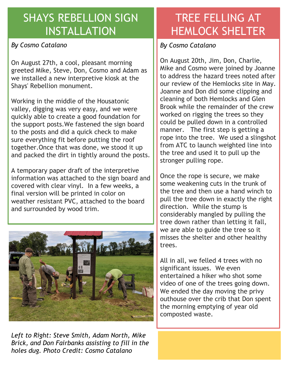#### SHAYS REBELLION SIGN INSTALLATION

#### *By Cosmo Catalano*

On August 27th, a cool, pleasant morning greeted Mike, Steve, Don, Cosmo and Adam as we installed a new interpretive kiosk at the Shays' Rebellion monument.

Working in the middle of the Housatonic valley, digging was very easy, and we were quickly able to create a good foundation for the support posts.We fastened the sign board to the posts and did a quick check to make sure everything fit before putting the roof together.Once that was done, we stood it up and packed the dirt in tightly around the posts.

A temporary paper draft of the interpretive information was attached to the sign board and covered with clear vinyl. In a few weeks, a final version will be printed in color on weather resistant PVC, attached to the board and surrounded by wood trim.



*Left to Right: Steve Smith, Adam North, Mike Brick, and Don Fairbanks assisting to fill in the holes dug. Photo Credit: Cosmo Catalano*

### TREE FELLING AT HEMLOCK SHELTER

*By Cosmo Catalano*

On August 20th, Jim, Don, Charlie, Mike and Cosmo were joined by Joanne to address the hazard trees noted after our review of the Hemlocks site in May. Joanne and Don did some clipping and cleaning of both Hemlocks and Glen Brook while the remainder of the crew worked on rigging the trees so they could be pulled down in a controlled manner. The first step is getting a rope into the tree. We used a slingshot from ATC to launch weighted line into the tree and used it to pull up the stronger pulling rope.

Once the rope is secure, we make some weakening cuts in the trunk of the tree and then use a hand winch to pull the tree down in exactly the right direction. While the stump is considerably mangled by pulling the tree down rather than letting it fall, we are able to guide the tree so it misses the shelter and other healthy trees.

All in all, we felled 4 trees with no significant issues. We even entertained a hiker who shot some video of one of the trees going down. We ended the day moving the privy outhouse over the crib that Don spent the morning emptying of year old composted waste.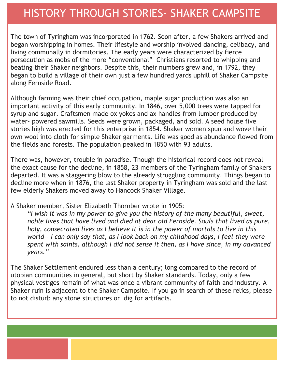#### HISTORY THROUGH STORIES- SHAKER CAMPSITE

The town of Tyringham was incorporated in 1762. Soon after, a few Shakers arrived and began worshipping in homes. Their lifestyle and worship involved dancing, celibacy, and living communally in dormitories. The early years were characterized by fierce persecution as mobs of the more "conventional" Christians resorted to whipping and beating their Shaker neighbors. Despite this, their numbers grew and, in 1792, they began to build a village of their own just a few hundred yards uphill of Shaker Campsite along Fernside Road.

Although farming was their chief occupation, maple sugar production was also an important activity of this early community. In 1846, over 5,000 trees were tapped for syrup and sugar. Craftsmen made ox yokes and ax handles from lumber produced by water- powered sawmills. Seeds were grown, packaged, and sold. A seed house five stories high was erected for this enterprise in 1854. Shaker women spun and wove their own wool into cloth for simple Shaker garments. Life was good as abundance flowed from the fields and forests. The population peaked in 1850 with 93 adults.

There was, however, trouble in paradise. Though the historical record does not reveal the exact cause for the decline, in 1858, 23 members of the Tyringham family of Shakers departed. It was a staggering blow to the already struggling community. Things began to decline more when in 1876, the last Shaker property in Tyringham was sold and the last few elderly Shakers moved away to Hancock Shaker Village.

A Shaker member, Sister Elizabeth Thornber wrote in 1905:

*"I wish it was in my power to give you the history of the many beautiful, sweet, noble lives that have lived and died at dear old Fernside. Souls that lived as pure, holy, consecrated lives as I believe it is in the power of mortals to live in this world-- I can only say that, as I look back on my childhood days, I feel they were spent with saints, although I did not sense it then, as I have since, in my advanced years."*

The Shaker Settlement endured less than a century; long compared to the record of utopian communities in general, but short by Shaker standards. Today, only a few physical vestiges remain of what was once a vibrant community of faith and industry. A Shaker ruin is adjacent to the Shaker Campsite. If you go in search of these relics, please to not disturb any stone structures or dig for artifacts.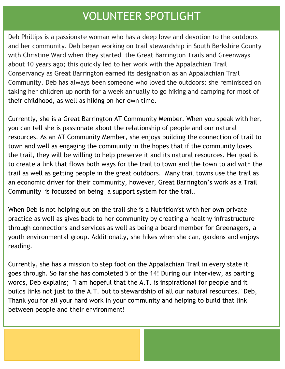#### VOLUNTEER SPOTLIGHT

Deb Phillips is a passionate woman who has a deep love and devotion to the outdoors and her community. Deb began working on trail stewardship in South Berkshire County with Christine Ward when they started the Great Barrington Trails and Greenways about 10 years ago; this quickly led to her work with the Appalachian Trail Conservancy as Great Barrington earned its designation as an Appalachian Trail Community. Deb has always been someone who loved the outdoors; she reminisced on taking her children up north for a week annually to go hiking and camping for most of their childhood, as well as hiking on her own time.

Currently, she is a Great Barrington AT Community Member. When you speak with her, you can tell she is passionate about the relationship of people and our natural resources. As an AT Community Member, she enjoys building the connection of trail to town and well as engaging the community in the hopes that if the community loves the trail, they will be willing to help preserve it and its natural resources. Her goal is to create a link that flows both ways for the trail to town and the town to aid with the trail as well as getting people in the great outdoors. Many trail towns use the trail as an economic driver for their community, however, Great Barrington's work as a Trail Community is focussed on being a support system for the trail.

When Deb is not helping out on the trail she is a Nutritionist with her own private practice as well as gives back to her community by creating a healthy infrastructure through connections and services as well as being a board member for Greenagers, a youth environmental group. Additionally, she hikes when she can, gardens and enjoys reading.

Currently, she has a mission to step foot on the Appalachian Trail in every state it goes through. So far she has completed 5 of the 14! During our interview, as parting words, Deb explains; "I am hopeful that the A.T. is inspirational for people and it builds links not just to the A.T. but to stewardship of all our natural resources." Deb, Thank you for all your hard work in your community and helping to build that link between people and their environment!